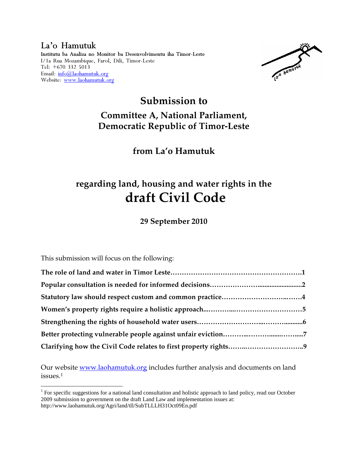#### La'o Hamutuk Institutu ba Analiza no Monitor ba Desenvolvimentu iha Timor-Leste I/1a Rua Mozambique, Farol, Dili, Timor-Leste Tel: +670 332 5013 Email: info@laohamutuk.org Website: www.laohamutuk.org

la'o hamuruk

## **Submission to Committee A, National Parliament, Democratic Republic of Timor-Leste**

**from La'o Hamutuk** 

# **regarding land, housing and water rights in the draft Civil Code**

**29 September 2010** 

This submission will focus on the following:

<u>.</u>

Our website www.laohamutuk.org includes further analysis and documents on land issues.<sup>1</sup>

<sup>&</sup>lt;sup>1</sup> For specific suggestions for a national land consultation and holistic approach to land policy, read our October 2009 submission to government on the draft Land Law and implementation issues at: http://www.laohamutuk.org/Agri/land/tll/SubTLLLH31Oct09En.pdf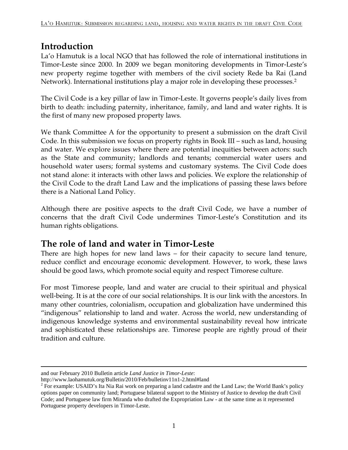### **Introduction**

La'o Hamutuk is a local NGO that has followed the role of international institutions in Timor-Leste since 2000. In 2009 we began monitoring developments in Timor-Leste's new property regime together with members of the civil society Rede ba Rai (Land Network). International institutions play a major role in developing these processes.<sup>2</sup>

The Civil Code is a key pillar of law in Timor-Leste. It governs people's daily lives from birth to death: including paternity, inheritance, family, and land and water rights. It is the first of many new proposed property laws.

We thank Committee A for the opportunity to present a submission on the draft Civil Code. In this submission we focus on property rights in Book III – such as land, housing and water. We explore issues where there are potential inequities between actors: such as the State and community; landlords and tenants; commercial water users and household water users; formal systems and customary systems. The Civil Code does not stand alone: it interacts with other laws and policies. We explore the relationship of the Civil Code to the draft Land Law and the implications of passing these laws before there is a National Land Policy.

Although there are positive aspects to the draft Civil Code, we have a number of concerns that the draft Civil Code undermines Timor-Leste's Constitution and its human rights obligations.

### **The role of land and water in Timor-Leste**

There are high hopes for new land laws – for their capacity to secure land tenure, reduce conflict and encourage economic development. However, to work, these laws should be good laws, which promote social equity and respect Timorese culture.

For most Timorese people, land and water are crucial to their spiritual and physical well-being. It is at the core of our social relationships. It is our link with the ancestors. In many other countries, colonialism, occupation and globalization have undermined this "indigenous" relationship to land and water. Across the world, new understanding of indigenous knowledge systems and environmental sustainability reveal how intricate and sophisticated these relationships are. Timorese people are rightly proud of their tradition and culture.

and our February 2010 Bulletin article *Land Justice in Timor-Leste*:

http://www.laohamutuk.org/Bulletin/2010/Feb/bulletinv11n1-2.html#land

 $2^2$  For example: USAID's Ita Nia Rai work on preparing a land cadastre and the Land Law; the World Bank's policy options paper on community land; Portuguese bilateral support to the Ministry of Justice to develop the draft Civil Code; and Portuguese law firm Miranda who drafted the Expropriation Law - at the same time as it represented Portuguese property developers in Timor-Leste.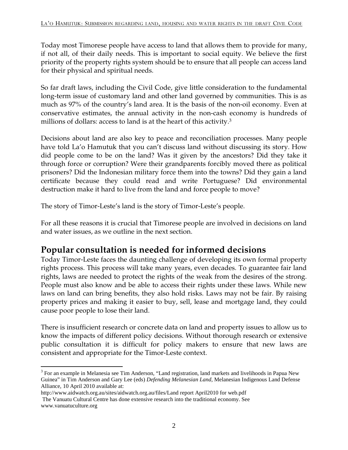Today most Timorese people have access to land that allows them to provide for many, if not all, of their daily needs. This is important to social equity. We believe the first priority of the property rights system should be to ensure that all people can access land for their physical and spiritual needs.

So far draft laws, including the Civil Code, give little consideration to the fundamental long-term issue of customary land and other land governed by communities. This is as much as 97% of the country's land area. It is the basis of the non-oil economy. Even at conservative estimates, the annual activity in the non-cash economy is hundreds of millions of dollars: access to land is at the heart of this activity.<sup>3</sup>

Decisions about land are also key to peace and reconciliation processes. Many people have told La'o Hamutuk that you can't discuss land without discussing its story. How did people come to be on the land? Was it given by the ancestors? Did they take it through force or corruption? Were their grandparents forcibly moved there as political prisoners? Did the Indonesian military force them into the towns? Did they gain a land certificate because they could read and write Portuguese? Did environmental destruction make it hard to live from the land and force people to move?

The story of Timor-Leste's land is the story of Timor-Leste's people.

For all these reasons it is crucial that Timorese people are involved in decisions on land and water issues, as we outline in the next section.

### **Popular consultation is needed for informed decisions**

Today Timor-Leste faces the daunting challenge of developing its own formal property rights process. This process will take many years, even decades. To guarantee fair land rights, laws are needed to protect the rights of the weak from the desires of the strong. People must also know and be able to access their rights under these laws. While new laws on land can bring benefits, they also hold risks. Laws may not be fair. By raising property prices and making it easier to buy, sell, lease and mortgage land, they could cause poor people to lose their land.

There is insufficient research or concrete data on land and property issues to allow us to know the impacts of different policy decisions. Without thorough research or extensive public consultation it is difficult for policy makers to ensure that new laws are consistent and appropriate for the Timor-Leste context.

<sup>-</sup><sup>3</sup> For an example in Melanesia see Tim Anderson, "Land registration, land markets and livelihoods in Papua New Guinea" in Tim Anderson and Gary Lee (eds) *Defending Melanesian Land*, Melanesian Indigenous Land Defense Alliance, 10 April 2010 available at:

http://www.aidwatch.org.au/sites/aidwatch.org.au/files/Land report April2010 for web.pdf

The Vanuatu Cultural Centre has done extensive research into the traditional economy. See www.vanuatuculture.org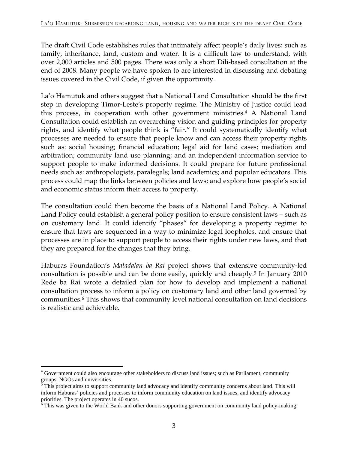The draft Civil Code establishes rules that intimately affect people's daily lives: such as family, inheritance, land, custom and water. It is a difficult law to understand, with over 2,000 articles and 500 pages. There was only a short Dili-based consultation at the end of 2008. Many people we have spoken to are interested in discussing and debating issues covered in the Civil Code, if given the opportunity.

La'o Hamutuk and others suggest that a National Land Consultation should be the first step in developing Timor-Leste's property regime. The Ministry of Justice could lead this process, in cooperation with other government ministries.<sup>4</sup> A National Land Consultation could establish an overarching vision and guiding principles for property rights, and identify what people think is "fair." It could systematically identify what processes are needed to ensure that people know and can access their property rights such as: social housing; financial education; legal aid for land cases; mediation and arbitration; community land use planning; and an independent information service to support people to make informed decisions. It could prepare for future professional needs such as: anthropologists, paralegals; land academics; and popular educators. This process could map the links between policies and laws; and explore how people's social and economic status inform their access to property.

The consultation could then become the basis of a National Land Policy. A National Land Policy could establish a general policy position to ensure consistent laws – such as on customary land. It could identify "phases" for developing a property regime: to ensure that laws are sequenced in a way to minimize legal loopholes, and ensure that processes are in place to support people to access their rights under new laws, and that they are prepared for the changes that they bring.

Haburas Foundation's *Matadalan ba Rai* project shows that extensive community-led consultation is possible and can be done easily, quickly and cheaply.<sup>5</sup> In January 2010 Rede ba Rai wrote a detailed plan for how to develop and implement a national consultation process to inform a policy on customary land and other land governed by communities.<sup>6</sup> This shows that community level national consultation on land decisions is realistic and achievable.

 $\overline{a}$ <sup>4</sup> Government could also encourage other stakeholders to discuss land issues; such as Parliament, community

groups, NGOs and universities.<br><sup>5</sup> This project aims to support community land advocacy and identify community concerns about land. This will inform Haburas' policies and processes to inform community education on land issues, and identify advocacy priorities. The project operates in 40 sucos.

 $6$  This was given to the World Bank and other donors supporting government on community land policy-making.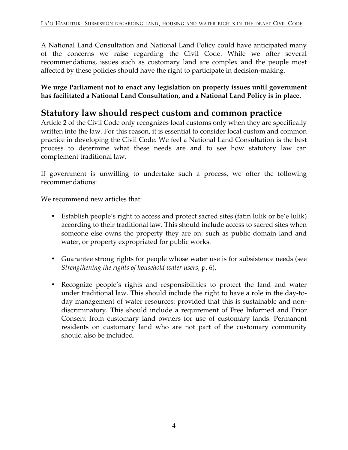A National Land Consultation and National Land Policy could have anticipated many of the concerns we raise regarding the Civil Code. While we offer several recommendations, issues such as customary land are complex and the people most affected by these policies should have the right to participate in decision-making.

**We urge Parliament not to enact any legislation on property issues until government has facilitated a National Land Consultation, and a National Land Policy is in place.** 

### **Statutory law should respect custom and common practice**

Article 2 of the Civil Code only recognizes local customs only when they are specifically written into the law. For this reason, it is essential to consider local custom and common practice in developing the Civil Code. We feel a National Land Consultation is the best process to determine what these needs are and to see how statutory law can complement traditional law.

If government is unwilling to undertake such a process, we offer the following recommendations:

We recommend new articles that:

- Establish people's right to access and protect sacred sites (fatin lulik or be'e lulik) according to their traditional law. This should include access to sacred sites when someone else owns the property they are on: such as public domain land and water, or property expropriated for public works.
- Guarantee strong rights for people whose water use is for subsistence needs (see *Strengthening the rights of household water users,* p. 6).
- Recognize people's rights and responsibilities to protect the land and water under traditional law. This should include the right to have a role in the day-today management of water resources: provided that this is sustainable and nondiscriminatory. This should include a requirement of Free Informed and Prior Consent from customary land owners for use of customary lands. Permanent residents on customary land who are not part of the customary community should also be included.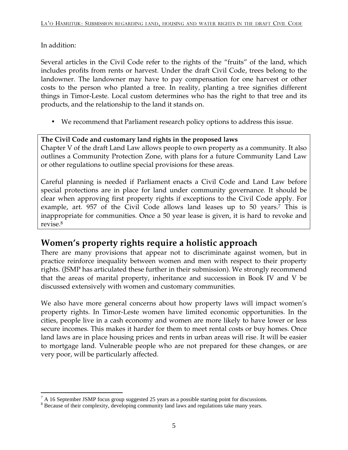In addition:

Several articles in the Civil Code refer to the rights of the "fruits" of the land, which includes profits from rents or harvest. Under the draft Civil Code, trees belong to the landowner. The landowner may have to pay compensation for one harvest or other costs to the person who planted a tree. In reality, planting a tree signifies different things in Timor-Leste. Local custom determines who has the right to that tree and its products, and the relationship to the land it stands on.

• We recommend that Parliament research policy options to address this issue.

### **The Civil Code and customary land rights in the proposed laws**

Chapter V of the draft Land Law allows people to own property as a community. It also outlines a Community Protection Zone, with plans for a future Community Land Law or other regulations to outline special provisions for these areas.

Careful planning is needed if Parliament enacts a Civil Code and Land Law before special protections are in place for land under community governance. It should be clear when approving first property rights if exceptions to the Civil Code apply. For example, art. 957 of the Civil Code allows land leases up to 50 years.<sup>7</sup> This is inappropriate for communities. Once a 50 year lease is given, it is hard to revoke and revise.<sup>8</sup>

### **Women's property rights require a holistic approach**

There are many provisions that appear not to discriminate against women, but in practice reinforce inequality between women and men with respect to their property rights. (JSMP has articulated these further in their submission). We strongly recommend that the areas of marital property, inheritance and succession in Book IV and V be discussed extensively with women and customary communities.

We also have more general concerns about how property laws will impact women's property rights. In Timor-Leste women have limited economic opportunities. In the cities, people live in a cash economy and women are more likely to have lower or less secure incomes. This makes it harder for them to meet rental costs or buy homes. Once land laws are in place housing prices and rents in urban areas will rise. It will be easier to mortgage land. Vulnerable people who are not prepared for these changes, or are very poor, will be particularly affected.

<sup>&</sup>lt;u>.</u>  $<sup>7</sup>$  A 16 September JSMP focus group suggested 25 years as a possible starting point for discussions.</sup>

<sup>&</sup>lt;sup>8</sup> Because of their complexity, developing community land laws and regulations take many years.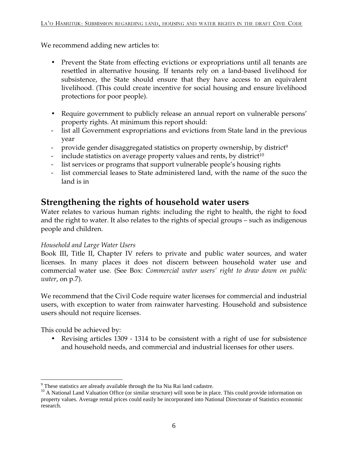We recommend adding new articles to:

- Prevent the State from effecting evictions or expropriations until all tenants are resettled in alternative housing. If tenants rely on a land-based livelihood for subsistence, the State should ensure that they have access to an equivalent livelihood. (This could create incentive for social housing and ensure livelihood protections for poor people).
- Require government to publicly release an annual report on vulnerable persons' property rights. At minimum this report should:
- list all Government expropriations and evictions from State land in the previous year
- provide gender disaggregated statistics on property ownership, by district<sup>9</sup>
- include statistics on average property values and rents, by district<sup>10</sup>
- list services or programs that support vulnerable people's housing rights
- list commercial leases to State administered land, with the name of the suco the land is in

### **Strengthening the rights of household water users**

Water relates to various human rights: including the right to health, the right to food and the right to water. It also relates to the rights of special groups – such as indigenous people and children.

#### *Household and Large Water Users*

Book III, Title II, Chapter IV refers to private and public water sources, and water licenses. In many places it does not discern between household water use and commercial water use. (See Box: *Commercial water users' right to draw down on public water*, on p.7).

We recommend that the Civil Code require water licenses for commercial and industrial users, with exception to water from rainwater harvesting. Household and subsistence users should not require licenses.

This could be achieved by:

• Revising articles 1309 - 1314 to be consistent with a right of use for subsistence and household needs, and commercial and industrial licenses for other users.

<sup>&</sup>lt;u>.</u> <sup>9</sup> These statistics are already available through the Ita Nia Rai land cadastre.

<sup>&</sup>lt;sup>10</sup> A National Land Valuation Office (or similar structure) will soon be in place. This could provide information on property values. Average rental prices could easily be incorporated into National Directorate of Statistics economic research.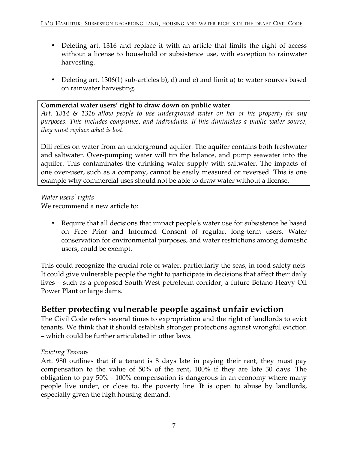- Deleting art. 1316 and replace it with an article that limits the right of access without a license to household or subsistence use, with exception to rainwater harvesting.
- Deleting art. 1306(1) sub-articles b), d) and e) and limit a) to water sources based on rainwater harvesting.

#### **Commercial water users' right to draw down on public water**

*Art. 1314 & 1316 allow people to use underground water on her or his property for any purposes. This includes companies, and individuals. If this diminishes a public water source, they must replace what is lost.* 

Dili relies on water from an underground aquifer. The aquifer contains both freshwater and saltwater. Over-pumping water will tip the balance, and pump seawater into the aquifer. This contaminates the drinking water supply with saltwater. The impacts of one over-user, such as a company, cannot be easily measured or reversed. This is one example why commercial uses should not be able to draw water without a license.

*Water users' rights* 

We recommend a new article to:

• Require that all decisions that impact people's water use for subsistence be based on Free Prior and Informed Consent of regular, long-term users. Water conservation for environmental purposes, and water restrictions among domestic users, could be exempt.

This could recognize the crucial role of water, particularly the seas, in food safety nets. It could give vulnerable people the right to participate in decisions that affect their daily lives – such as a proposed South-West petroleum corridor, a future Betano Heavy Oil Power Plant or large dams.

### **Better protecting vulnerable people against unfair eviction**

The Civil Code refers several times to expropriation and the right of landlords to evict tenants. We think that it should establish stronger protections against wrongful eviction – which could be further articulated in other laws.

#### *Evicting Tenants*

Art. 980 outlines that if a tenant is 8 days late in paying their rent, they must pay compensation to the value of 50% of the rent, 100% if they are late 30 days. The obligation to pay 50% - 100% compensation is dangerous in an economy where many people live under, or close to, the poverty line. It is open to abuse by landlords, especially given the high housing demand.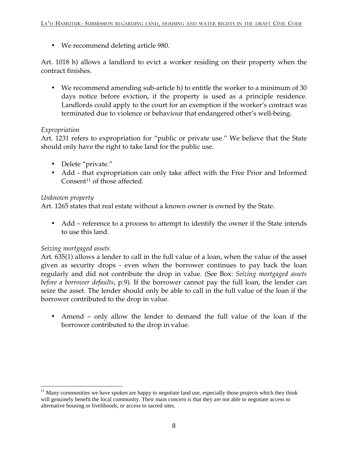• We recommend deleting article 980.

Art. 1018 h) allows a landlord to evict a worker residing on their property when the contract finishes.

• We recommend amending sub-article h) to entitle the worker to a minimum of 30 days notice before eviction, if the property is used as a principle residence. Landlords could apply to the court for an exemption if the worker's contract was terminated due to violence or behaviour that endangered other's well-being.

#### *Expropriation*

Art. 1231 refers to expropriation for "public or private use." We believe that the State should only have the right to take land for the public use.

- Delete "private."
- Add that expropriation can only take affect with the Free Prior and Informed Consent<sup>11</sup> of those affected.

#### *Unknown property*

Art. 1265 states that real estate without a known owner is owned by the State.

• Add – reference to a process to attempt to identify the owner if the State intends to use this land.

#### *Seizing mortgaged assets*

Art. 635(1) allows a lender to call in the full value of a loan, when the value of the asset given as security drops - even when the borrower continues to pay back the loan regularly and did not contribute the drop in value. (See Box: *Seizing mortgaged assets before a borrower defaults*, p.9). If the borrower cannot pay the full loan, the lender can seize the asset. The lender should only be able to call in the full value of the loan if the borrower contributed to the drop in value.

• Amend – only allow the lender to demand the full value of the loan if the borrower contributed to the drop in value.

<sup>&</sup>lt;u>.</u> <sup>11</sup> Many communities we have spoken are happy to negotiate land use, especially those projects which they think will genuinely benefit the local community. Their main concern is that they are not able to negotiate access to alternative housing or livelihoods, or access to sacred sites.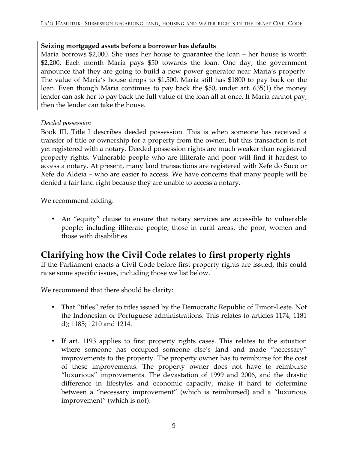#### **Seizing mortgaged assets before a borrower has defaults**

Maria borrows \$2,000. She uses her house to guarantee the loan – her house is worth \$2,200. Each month Maria pays \$50 towards the loan. One day, the government announce that they are going to build a new power generator near Maria's property. The value of Maria's house drops to \$1,500. Maria still has \$1800 to pay back on the loan. Even though Maria continues to pay back the \$50, under art. 635(1) the money lender can ask her to pay back the full value of the loan all at once. If Maria cannot pay, then the lender can take the house.

#### *Deeded possession*

Book III, Title I describes deeded possession. This is when someone has received a transfer of title or ownership for a property from the owner, but this transaction is not yet registered with a notary. Deeded possession rights are much weaker than registered property rights. Vulnerable people who are illiterate and poor will find it hardest to access a notary. At present, many land transactions are registered with Xefe do Suco or Xefe do Aldeia – who are easier to access. We have concerns that many people will be denied a fair land right because they are unable to access a notary.

We recommend adding:

• An "equity" clause to ensure that notary services are accessible to vulnerable people: including illiterate people, those in rural areas, the poor, women and those with disabilities.

### **Clarifying how the Civil Code relates to first property rights**

If the Parliament enacts a Civil Code before first property rights are issued, this could raise some specific issues, including those we list below.

We recommend that there should be clarity:

- That "titles" refer to titles issued by the Democratic Republic of Timor-Leste. Not the Indonesian or Portuguese administrations. This relates to articles 1174; 1181 d); 1185; 1210 and 1214.
- If art. 1193 applies to first property rights cases. This relates to the situation where someone has occupied someone else's land and made "necessary" improvements to the property. The property owner has to reimburse for the cost of these improvements. The property owner does not have to reimburse "luxurious" improvements. The devastation of 1999 and 2006, and the drastic difference in lifestyles and economic capacity, make it hard to determine between a "necessary improvement" (which is reimbursed) and a "luxurious improvement" (which is not).